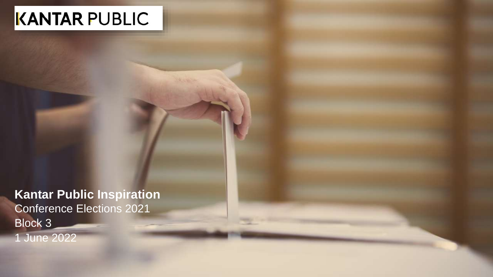# KANTAR PUBLIC

**Kantar Public Inspiration** Conference Elections 2021 Block 3 1 June 2022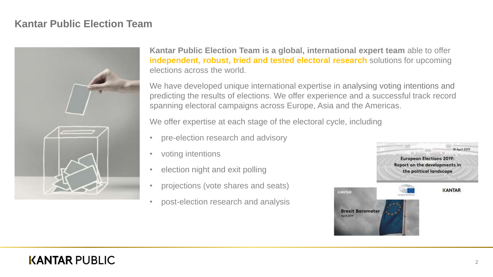#### **Kantar Public Election Team**



**Kantar Public Election Team is a global, international expert team** able to offer **independent, robust, tried and tested electoral research** solutions for upcoming elections across the world.

We have developed unique international expertise in analysing voting intentions and predicting the results of elections. We offer experience and a successful track record spanning electoral campaigns across Europe, Asia and the Americas.

We offer expertise at each stage of the electoral cycle, including

- pre-election research and advisory
- voting intentions
- election night and exit polling
- projections (vote shares and seats)
- post-election research and analysis

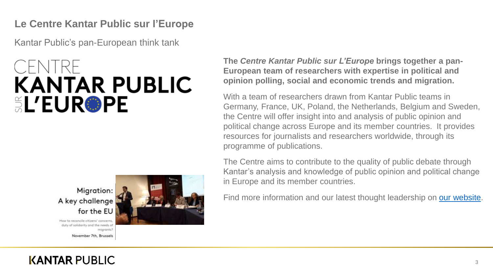#### **Le Centre Kantar Public sur l'Europe**

Kantar Public's pan-European think tank

# **KANTAR PUBLIC SL'EUR®PE**



How to reconcile citizens' concerns. duty of solidarity and the needs of migrants?



**The** *Centre Kantar Public sur L'Europe* **brings together a pan-European team of researchers with expertise in political and opinion polling, social and economic trends and migration.**

With a team of researchers drawn from Kantar Public teams in Germany, France, UK, Poland, the Netherlands, Belgium and Sweden, the Centre will offer insight into and analysis of public opinion and political change across Europe and its member countries. It provides resources for journalists and researchers worldwide, through its programme of publications.

The Centre aims to contribute to the quality of public debate through Kantar's analysis and knowledge of public opinion and political change in Europe and its member countries.

Find more information and our latest thought leadership on [our website.](http://www.kantar.com/public/our-thinking/le-centre-kantar-sur-le-future-de-l-europe/european-elections-2019)

November 7th, Brussels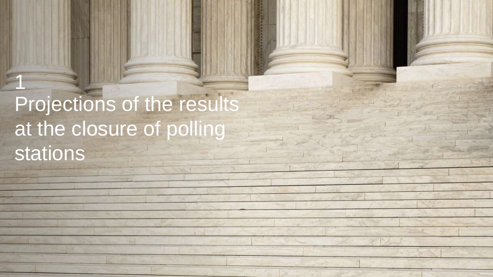# Projections of the results at the closure of polling stations

1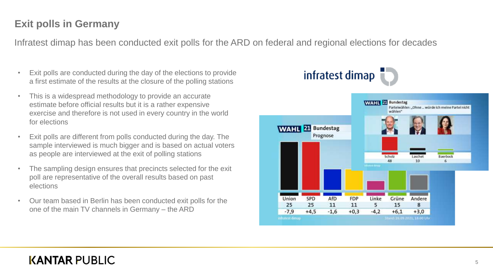Infratest dimap has been conducted exit polls for the ARD on federal and regional elections for decades

- Exit polls are conducted during the day of the elections to provide a first estimate of the results at the closure of the polling stations
- This is a widespread methodology to provide an accurate estimate before official results but it is a rather expensive exercise and therefore is not used in every country in the world for elections
- Exit polls are different from polls conducted during the day. The sample interviewed is much bigger and is based on actual voters as people are interviewed at the exit of polling stations
- The sampling design ensures that precincts selected for the exit poll are representative of the overall results based on past elections
- Our team based in Berlin has been conducted exit polls for the one of the main TV channels in Germany – the ARD

# infratest dimap

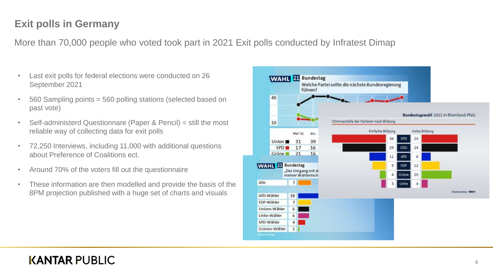More than 70,000 people who voted took part in 2021 Exit polls conducted by Infratest Dimap

- Last exit polls for federal elections were conducted on 26 September 2021
- 560 Sampling points = 560 polling stations (selected based on past vote)
- Self-administerd Questionnare (Paper & Pencil) = still the most reliable way of collecting data for exit polls
- 72,250 Interviews, including 11,000 with additional questions about Preference of Coalitions ect.
- Around 70% of the voters fill out the questionnaire
- These information are then modelled and provide the basis of the 8PM projection published with a huge set of charts and visuals

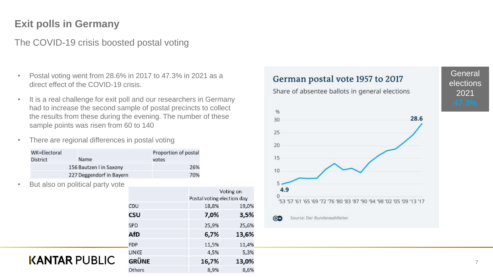#### The COVID-19 crisis boosted postal voting

- Postal voting went from 28.6% in 2017 to 47.3% in 2021 as a direct effect of the COVID-19 crisis.
- It is a real challenge for exit poll and our researchers in Germany had to increase the second sample of postal precincts to collect the results from these during the evening. The number of these sample points was risen from 60 to 140
- There are regional differences in postal voting

| WK=Electoral<br><b>District</b> | Name                     | Proportion of postal<br>votes |
|---------------------------------|--------------------------|-------------------------------|
|                                 | 156 Bautzen I in Saxony  | 26%                           |
|                                 | 227 Deggendorf in Bayern | 70%                           |

But also on political party vote

**KANTAR PUBLIC** 

| Voting on<br>Postal voting election day |       |  |
|-----------------------------------------|-------|--|
| 18,8%                                   | 19,0% |  |
| 7,0%                                    | 3,5%  |  |
| 25,9%                                   | 25,6% |  |
| 6,7%                                    | 13,6% |  |
| 11,5%                                   | 11,4% |  |
| 4,5%                                    | 5,3%  |  |
| 16,7%                                   | 13,0% |  |
| 8,9%                                    | 8,6%  |  |
|                                         |       |  |



## **General** elections 2021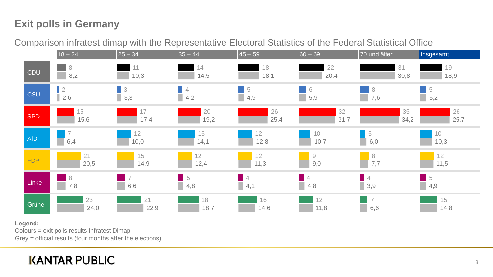Comparison infratest dimap with the Representative Electoral Statistics of the Federal Statistical Office



#### **Legend:**

Colours = exit polls results Infratest Dimap

Grey = official results (four months after the elections)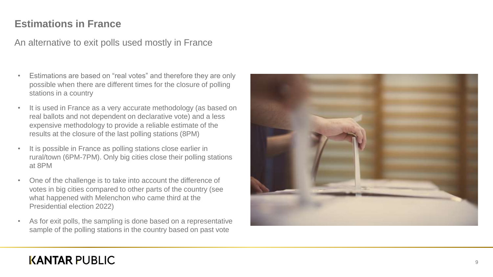#### **Estimations in France**

An alternative to exit polls used mostly in France

- Estimations are based on "real votes" and therefore they are only possible when there are different times for the closure of polling stations in a country
- It is used in France as a very accurate methodology (as based on real ballots and not dependent on declarative vote) and a less expensive methodology to provide a reliable estimate of the results at the closure of the last polling stations (8PM)
- It is possible in France as polling stations close earlier in rural/town (6PM -7PM). Only big cities close their polling stations at 8PM
- One of the challenge is to take into account the difference of votes in big cities compared to other parts of the country (see what happened with Melenchon who came third at the Presidential election 2022)
- As for exit polls, the sampling is done based on a representative sample of the polling stations in the country based on past vote

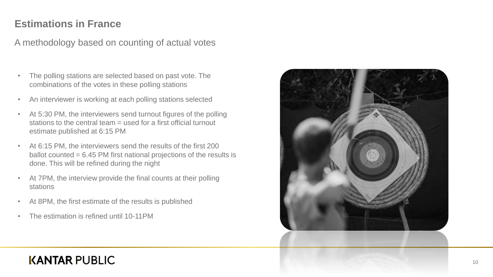#### **Estimations in France**

A methodology based on counting of actual votes

- The polling stations are selected based on past vote. The combinations of the votes in these polling stations
- An interviewer is working at each polling stations selected
- At 5:30 PM, the interviewers send turnout figures of the polling stations to the central team = used for a first official turnout estimate published at 6:15 PM
- At 6:15 PM, the interviewers send the results of the first 200 ballot counted = 6.45 PM first national projections of the results is done. This will be refined during the night
- At 7PM, the interview provide the final counts at their polling stations
- At 8PM, the first estimate of the results is published
- The estimation is refined until 10-11PM

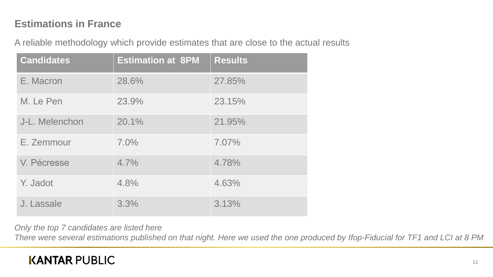#### **Estimations in France**

A reliable methodology which provide estimates that are close to the actual results

| <b>Candidates</b> | <b>Estimation at 8PM</b> | <b>Results</b> |
|-------------------|--------------------------|----------------|
| E. Macron         | 28.6%                    | 27.85%         |
| M. Le Pen         | 23.9%                    | 23.15%         |
| J-L. Melenchon    | 20.1%                    | 21.95%         |
| E. Zemmour        | 7.0%                     | 7.07%          |
| V. Pécresse       | 4.7%                     | 4.78%          |
| Y. Jadot          | 4.8%                     | 4.63%          |
| J. Lassale        | 3.3%                     | 3.13%          |

*Only the top 7 candidates are listed here*

*There were several estimations published on that night. Here we used the one produced by Ifop-Fiducial for TF1 and LCI at 8 PM*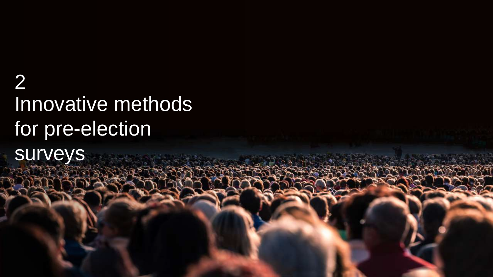# Innovative methods for pre-election surveys 2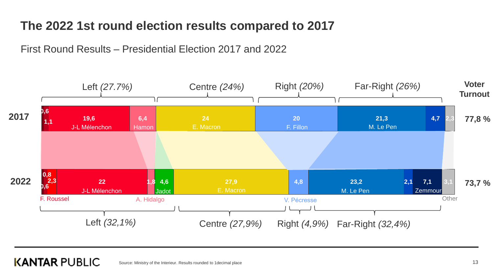# **The 2022 1st round election results compared to 2017**

First Round Results – Presidential Election 2017 and 2022



#### **KANTAR PUBLIC** Source: Ministry of the Interieur. Results rounded to 1decimal place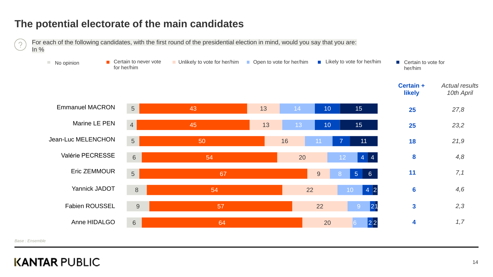#### **The potential electorate of the main candidates**



*Base : Ensemble*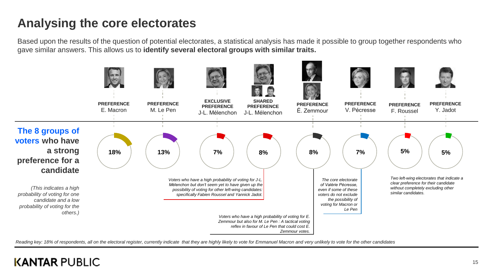# **Analysing the core electorates**

Based upon the results of the question of potential electorates, a statistical analysis has made it possible to group together respondents who gave similar answers. This allows us to **identify several electoral groups with similar traits.** 



Reading key: 18% of respondents, all on the electoral register, currently indicate that they are highly likely to vote for Emmanuel Macron and very unlikely to vote for the other candidates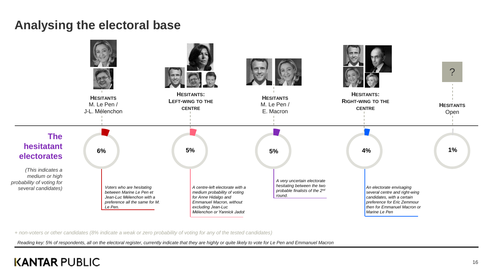## **Analysing the electoral base**



*+ non-voters or other candidates (8% indicate a weak or zero probability of voting for any of the tested candidates)*

*Reading key: 5% of respondents, all on the electoral register, currently indicate that they are highly or quite likely to vote for Le Pen and Emmanuel Macron*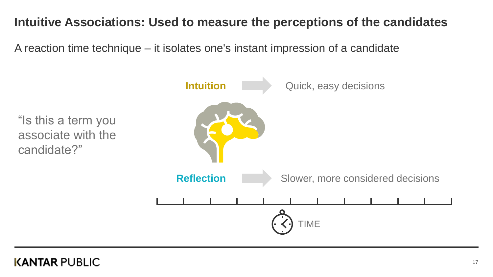# **Intuitive Associations: Used to measure the perceptions of the candidates**

A reaction time technique – it isolates one's instant impression of a candidate

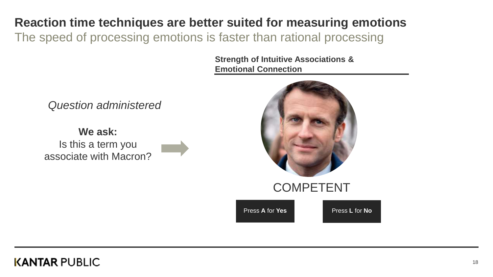# **Reaction time techniques are better suited for measuring emotions**

The speed of processing emotions is faster than rational processing

**Strength of Intuitive Associations & Emotional Connection**

*Question administered* 

**We ask:**  Is this a term you associate with Macron?



Press **A** for **Yes** Press **L** for **No**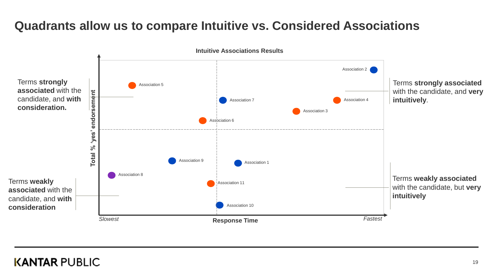# **Quadrants allow us to compare Intuitive vs. Considered Associations**

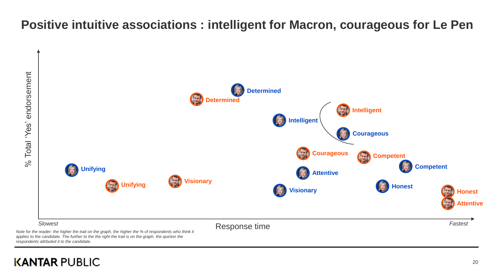# **Positive intuitive associations : intelligent for Macron, courageous for Le Pen**



*Note for the reader: the higher the trait on the graph, the higher the % of respondents who think it applies to the candidate. The further to the the right the trait is on the graph, the quicker the respondents attrbuted it to the candidate.*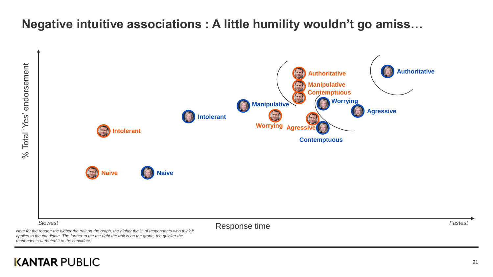# **Negative intuitive associations : A little humility wouldn't go amiss…**